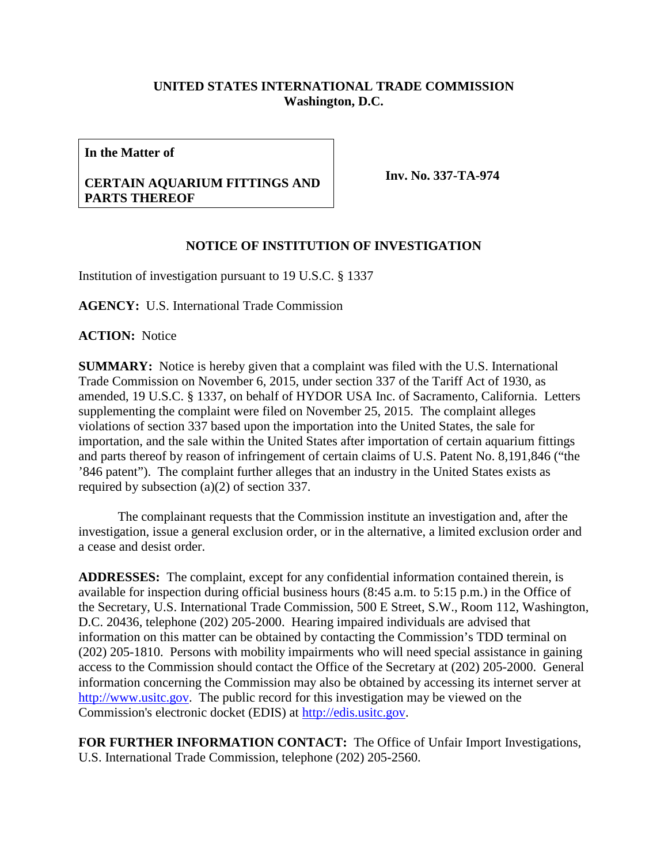## **UNITED STATES INTERNATIONAL TRADE COMMISSION Washington, D.C.**

**In the Matter of**

## **CERTAIN AQUARIUM FITTINGS AND PARTS THEREOF**

**Inv. No. 337-TA-974**

## **NOTICE OF INSTITUTION OF INVESTIGATION**

Institution of investigation pursuant to 19 U.S.C. § 1337

**AGENCY:** U.S. International Trade Commission

**ACTION:** Notice

**SUMMARY:** Notice is hereby given that a complaint was filed with the U.S. International Trade Commission on November 6, 2015, under section 337 of the Tariff Act of 1930, as amended, 19 U.S.C. § 1337, on behalf of HYDOR USA Inc. of Sacramento, California. Letters supplementing the complaint were filed on November 25, 2015. The complaint alleges violations of section 337 based upon the importation into the United States, the sale for importation, and the sale within the United States after importation of certain aquarium fittings and parts thereof by reason of infringement of certain claims of U.S. Patent No. 8,191,846 ("the '846 patent"). The complaint further alleges that an industry in the United States exists as required by subsection (a)(2) of section 337.

The complainant requests that the Commission institute an investigation and, after the investigation, issue a general exclusion order, or in the alternative, a limited exclusion order and a cease and desist order.

**ADDRESSES:** The complaint, except for any confidential information contained therein, is available for inspection during official business hours (8:45 a.m. to 5:15 p.m.) in the Office of the Secretary, U.S. International Trade Commission, 500 E Street, S.W., Room 112, Washington, D.C. 20436, telephone (202) 205-2000. Hearing impaired individuals are advised that information on this matter can be obtained by contacting the Commission's TDD terminal on (202) 205-1810. Persons with mobility impairments who will need special assistance in gaining access to the Commission should contact the Office of the Secretary at (202) 205-2000. General information concerning the Commission may also be obtained by accessing its internet server at [http://www.usitc.gov.](http://www.usitc.gov/) The public record for this investigation may be viewed on the Commission's electronic docket (EDIS) at [http://edis.usitc.gov.](http://edis.usitc.gov/)

**FOR FURTHER INFORMATION CONTACT:** The Office of Unfair Import Investigations, U.S. International Trade Commission, telephone (202) 205-2560.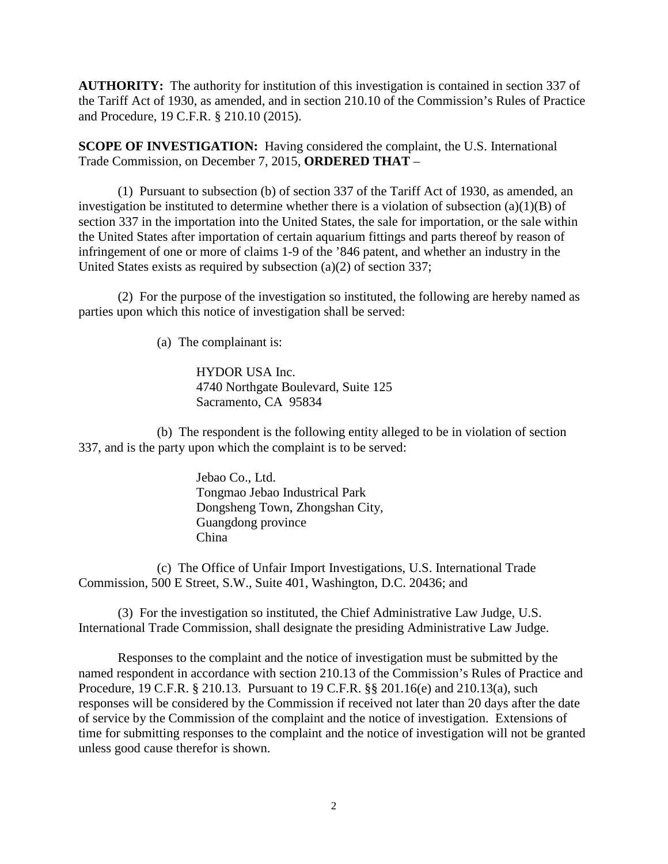**AUTHORITY:** The authority for institution of this investigation is contained in section 337 of the Tariff Act of 1930, as amended, and in section 210.10 of the Commission's Rules of Practice and Procedure, 19 C.F.R. § 210.10 (2015).

**SCOPE OF INVESTIGATION:** Having considered the complaint, the U.S. International Trade Commission, on December 7, 2015, **ORDERED THAT** –

(1) Pursuant to subsection (b) of section 337 of the Tariff Act of 1930, as amended, an investigation be instituted to determine whether there is a violation of subsection  $(a)(1)(B)$  of section 337 in the importation into the United States, the sale for importation, or the sale within the United States after importation of certain aquarium fittings and parts thereof by reason of infringement of one or more of claims 1-9 of the '846 patent, and whether an industry in the United States exists as required by subsection (a)(2) of section 337;

(2) For the purpose of the investigation so instituted, the following are hereby named as parties upon which this notice of investigation shall be served:

(a) The complainant is:

HYDOR USA Inc. 4740 Northgate Boulevard, Suite 125 Sacramento, CA 95834

(b) The respondent is the following entity alleged to be in violation of section 337, and is the party upon which the complaint is to be served:

> Jebao Co., Ltd. Tongmao Jebao Industrical Park Dongsheng Town, Zhongshan City, Guangdong province China

(c) The Office of Unfair Import Investigations, U.S. International Trade Commission, 500 E Street, S.W., Suite 401, Washington, D.C. 20436; and

(3) For the investigation so instituted, the Chief Administrative Law Judge, U.S. International Trade Commission, shall designate the presiding Administrative Law Judge.

Responses to the complaint and the notice of investigation must be submitted by the named respondent in accordance with section 210.13 of the Commission's Rules of Practice and Procedure, 19 C.F.R. § 210.13. Pursuant to 19 C.F.R. §§ 201.16(e) and 210.13(a), such responses will be considered by the Commission if received not later than 20 days after the date of service by the Commission of the complaint and the notice of investigation. Extensions of time for submitting responses to the complaint and the notice of investigation will not be granted unless good cause therefor is shown.